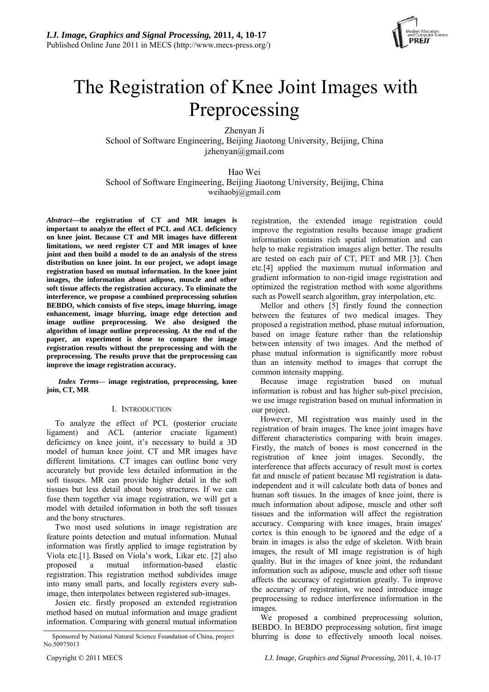

# The Registration of Knee Joint Images with Preprocessing

Zhenyan Ji

School of Software Engineering, Beijing Jiaotong University, Beijing, China  $izhenvan@gmail.com$ 

Hao Wei School of Software Engineering, Beijing Jiaotong University, Beijing, China weihaobj@gmail.com

*Abstract***—the registration of CT and MR images is important to analyze the effect of PCL and ACL deficiency on knee joint. Because CT and MR images have different limitations, we need register CT and MR images of knee joint and then build a model to do an analysis of the stress distribution on knee joint. In our project, we adopt image registration based on mutual information. In the knee joint images, the information about adipose, muscle and other soft tissue affects the registration accuracy. To eliminate the interference, we propose a combined preprocessing solution BEBDO, which consists of five steps, image blurring, image enhancement, image blurring, image edge detection and image outline preprocessing. We also designed the algorithm of image outline preprocessing. At the end of the paper, an experiment is done to compare the image registration results without the preprocessing and with the preprocessing. The results prove that the preprocessing can improve the image registration accuracy.** 

*Index Terms—* **image registration, preprocessing, knee join, CT, MR** 

# I. INTRODUCTION

To analyze the effect of PCL (posterior cruciate ligament) and ACL (anterior cruciate ligament) deficiency on knee joint, it's necessary to build a 3D model of human knee joint. CT and MR images have different limitations. CT images can outline bone very accurately but provide less detailed information in the soft tissues. MR can provide higher detail in the soft tissues but less detail about bony structures. If we can fuse them together via image registration, we will get a model with detailed information in both the soft tissues and the bony structures.

Two most used solutions in image registration are feature points detection and mutual information. Mutual information was firstly applied to image registration by Viola etc.[1]. Based on Viola's work, Likar etc. [2] also proposed a mutual information-based elastic registration. This registration method subdivides image into many small parts, and locally registers every subimage, then interpolates between registered sub-images.

Josien etc. firstly proposed an extended registration method based on mutual information and image gradient information. Comparing with general mutual information

Mellor and others [5] firstly found the connection between the features of two medical images. They proposed a registration method, phase mutual information, based on image feature rather than the relationship between intensity of two images. And the method of phase mutual information is significantly more robust than an intensity method to images that corrupt the common intensity mapping. Because image registration based on mutual information is robust and has higher sub-pixel precision, we use image registration based on mutual information in our project.

registration, the extended image registration could improve the registration results because image gradient information contains rich spatial information and can help to make registration images align better. The results are tested on each pair of CT, PET and MR [3]. Chen etc.[4] applied the maximum mutual information and gradient information to non-rigid image registration and optimized the registration method with some algorithms such as Powell search algorithm, gray interpolation, etc.

However, MI registration was mainly used in the registration of brain images. The knee joint images have different characteristics comparing with brain images. Firstly, the match of bones is most concerned in the registration of knee joint images. Secondly, the interference that affects accuracy of result most is cortex fat and muscle of patient because MI registration is dataindependent and it will calculate both data of bones and human soft tissues. In the images of knee joint, there is much information about adipose, muscle and other soft tissues and the information will affect the registration accuracy. Comparing with knee images, brain images' cortex is thin enough to be ignored and the edge of a brain in images is also the edge of skeleton. With brain images, the result of MI image registration is of high quality. But in the images of knee joint, the redundant information such as adipose, muscle and other soft tissue affects the accuracy of registration greatly. To improve the accuracy of registration, we need introduce image preprocessing to reduce interference information in the images.

We proposed a combined preprocessing solution, BEBDO. In BEBDO preprocessing solution, first image Sponsored by National Natural Science Foundation of China, project blurring is done to effectively smooth local noises.

No.50975013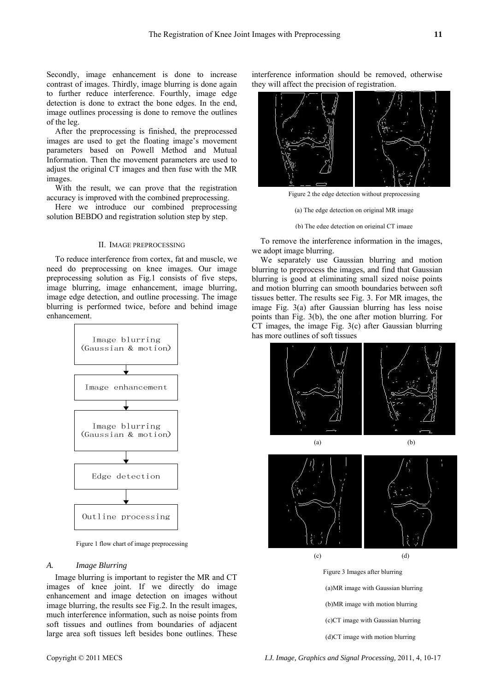Secondly, image enhancement is done to increase contrast of images. Thirdly, image blurring is done again to further reduce interference. Fourthly, image edge detection is done to extract the bone edges. In the end, image outlines processing is done to remove the outlines of the leg.

After the preprocessing is finished, the preprocessed images are used to get the floating image's movement parameters based on Powell Method and Mutual Information. Then the movement parameters are used to adjust the original CT images and then fuse with the MR images.

With the result, we can prove that the registration accuracy is improved with the combined preprocessing.

Here we introduce our combined preprocessing solution BEBDO and registration solution step by step.

# II. IMAGE PREPROCESSING

To reduce interference from cortex, fat and muscle, we need do preprocessing on knee images. Our image preprocessing solution as Fig.1 consists of five steps, image blurring, image enhancement, image blurring, image edge detection, and outline processing. The image blurring is performed twice, before and behind image enhancement.



Figure 1 flow chart of image preprocessing

# *A. Image Blurring*

Image blurring is important to register the MR and CT images of knee joint. If we directly do image enhancement and image detection on images without image blurring, the results see Fig.2. In the result images, much interference information, such as noise points from soft tissues and outlines from boundaries of adjacent large area soft tissues left besides bone outlines. These interference information should be removed, otherwise they will affect the precision of registration.



Figure 2 the edge detection without preprocessing

- (a) The edge detection on original MR image
- (b) The edge detection on original CT image

To remove the interference information in the images, we adopt image blurring.

We separately use Gaussian blurring and motion blurring to preprocess the images, and find that Gaussian blurring is good at eliminating small sized noise points and motion blurring can smooth boundaries between soft tissues better. The results see Fig. 3. For MR images, the image Fig. 3(a) after Gaussian blurring has less noise points than Fig. 3(b), the one after motion blurring. For CT images, the image Fig. 3(c) after Gaussian blurring has more outlines of soft tissues



(d)CT image with motion blurring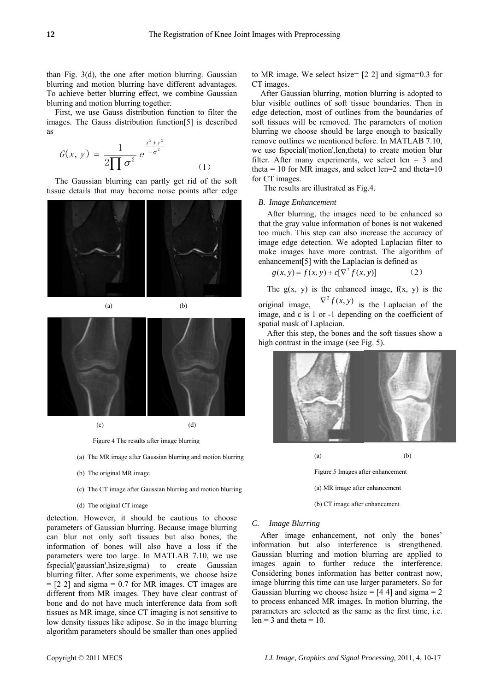than Fig. 3(d), the one after motion blurring. Gaussian blurring and motion blurring have different advantages. To achieve better blurring effect, we combine Gaussian blurring and motion blurring together.

First, we use Gauss distribution function to filter the images. The Gauss distribution function[5] is described as

$$
G(x, y) = \frac{1}{2\prod \sigma^2} e^{\frac{x^2 + y^2}{-\sigma^2}}
$$
 (1)

The Gaussian blurring can partly get rid of the soft tissue details that may become noise points after edge





Figure 4 The results after image blurring

- (a) The MR image after Gaussian blurring and motion blurring
- (b) The original MR image
- (c) The CT image after Gaussian blurring and motion blurring
- (d) The original CT image

detection. However, it should be cautious to choose parameters of Gaussian blurring. Because image blurring can blur not only soft tissues but also bones, the information of bones will also have a loss if the parameters were too large. In MATLAB 7.10, we use fspecial('gaussian',hsize,sigma) to create Gaussian blurring filter. After some experiments, we choose hsize  $= [2 2]$  and sigma  $= 0.7$  for MR images. CT images are different from MR images. They have clear contrast of bone and do not have much interference data from soft tissues as MR image, since CT imaging is not sensitive to low density tissues like adipose. So in the image blurring algorithm parameters should be smaller than ones applied

to MR image. We select hsize= [2 2] and sigma=0.3 for CT images.

After Gaussian blurring, motion blurring is adopted to blur visible outlines of soft tissue boundaries. Then in edge detection, most of outlines from the boundaries of soft tissues will be removed. The parameters of motion blurring we choose should be large enough to basically remove outlines we mentioned before. In MATLAB 7.10, we use fspecial('motion',len,theta) to create motion blur filter. After many experiments, we select len  $=$  3 and theta = 10 for MR images, and select len=2 and theta=10 for CT images.

The results are illustrated as Fig.4.

## *B. Image Enhancement*

After blurring, the images need to be enhanced so that the gray value information of bones is not wakened too much. This step can also increase the accuracy of image edge detection. We adopted Laplacian filter to make images have more contrast. The algorithm of enhancement[5] with the Laplacian is defined as

$$
g(x, y) = f(x, y) + c[\nabla^2 f(x, y)]
$$
 (2)

The  $g(x, y)$  is the enhanced image,  $f(x, y)$  is the

original image,  $\nabla^2 f(x, y)$  is the Laplacian of the image, and c is 1 or -1 depending on the coefficient of spatial mask of Laplacian.

After this step, the bones and the soft tissues show a high contrast in the image (see Fig. 5).



 $(a)$  (b) Figure 5 Images after enhancement

(a) MR image after enhancement

(b) CT image after enhancement

# *C. Image Blurring*

After image enhancement, not only the bones' information but also interference is strengthened. Gaussian blurring and motion blurring are applied to images again to further reduce the interference. Considering bones information has better contrast now, image blurring this time can use larger parameters. So for Gaussian blurring we choose hsize  $=$  [4 4] and sigma  $=$  2 to process enhanced MR images. In motion blurring, the parameters are selected as the same as the first time, i.e.  $len = 3$  and theta = 10.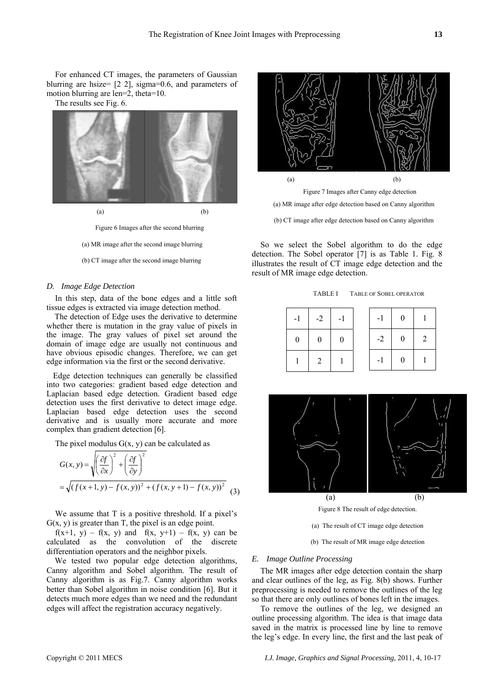For enhanced CT images, the parameters of Gaussian blurring are hsize= [2 2], sigma=0.6, and parameters of motion blurring are len=2, theta=10.

The results see Fig. 6.



Figure 6 Images after the second blurring

(a) MR image after the second image blurring

(b) CT image after the second image blurring

#### *D. Image Edge Detection*

In this step, data of the bone edges and a little soft tissue edges is extracted via image detection method.

The detection of Edge uses the derivative to determine whether there is mutation in the gray value of pixels in the image. The gray values of pixel set around the domain of image edge are usually not continuous and have obvious episodic changes. Therefore, we can get edge information via the first or the second derivative.

Edge detection techniques can generally be classified into two categories: gradient based edge detection and Laplacian based edge detection. Gradient based edge detection uses the first derivative to detect image edge. Laplacian based edge detection uses the second derivative and is usually more accurate and more complex than gradient detection [6].

The pixel modulus  $G(x, y)$  can be calculated as

$$
G(x, y) = \sqrt{\left(\frac{\partial f}{\partial x}\right)^2 + \left(\frac{\partial f}{\partial y}\right)^2}
$$
  
=  $\sqrt{(f(x+1, y) - f(x, y))^2 + (f(x, y+1) - f(x, y))^2}$  (3)

We assume that T is a positive threshold. If a pixel's  $G(x, y)$  is greater than T, the pixel is an edge point.

 $f(x+1, y) - f(x, y)$  and  $f(x, y+1) - f(x, y)$  can be calculated as the convolution of the discrete differentiation operators and the neighbor pixels.

We tested two popular edge detection algorithms, Canny algorithm and Sobel algorithm. The result of Canny algorithm is as Fig.7. Canny algorithm works better than Sobel algorithm in noise condition [6]. But it detects much more edges than we need and the redundant edges will affect the registration accuracy negatively.





(b) CT image after edge detection based on Canny algorithm

So we select the Sobel algorithm to do the edge detection. The Sobel operator [7] is as Table 1. Fig. 8 illustrates the result of CT image edge detection and the result of MR image edge detection.

TABLE I TABLE OF SOBEL OPERATOR

| $-1$ | $-2$           | $-1$           | $-1$ | $\overline{0}$ |   |
|------|----------------|----------------|------|----------------|---|
| 0    | $\overline{0}$ | $\overline{0}$ | $-2$ | $\overline{0}$ | 2 |
|      | <sup>2</sup>   |                | $-1$ | $\overline{0}$ |   |



Figure 8 The result of edge detection.

- (a) The result of CT image edge detection
- (b) The result of MR image edge detection

#### *E. Image Outline Processing*

The MR images after edge detection contain the sharp and clear outlines of the leg, as Fig. 8(b) shows. Further preprocessing is needed to remove the outlines of the leg so that there are only outlines of bones left in the images.

To remove the outlines of the leg, we designed an outline processing algorithm. The idea is that image data saved in the matrix is processed line by line to remove the leg's edge. In every line, the first and the last peak of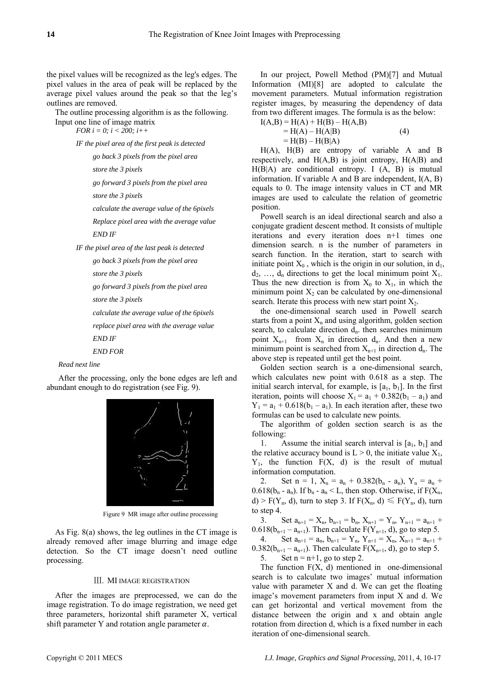the pixel values will be recognized as the leg's edges. The pixel values in the area of peak will be replaced by the average pixel values around the peak so that the leg's outlines are removed.

The outline processing algorithm is as the following.

Input one line of image matrix *FOR i = 0; i < 200; i++* 

*IF the pixel area of the first peak is detected* 

*go back 3 pixels from the pixel area* 

*store the 3 pixels* 

*go forward 3 pixels from the pixel area* 

*store the 3 pixels* 

*calculate the average value of the 6pixels* 

*Replace pixel area with the average value* 

*END IF* 

*IF the pixel area of the last peak is detected* 

*go back 3 pixels from the pixel area* 

*store the 3 pixels* 

*go forward 3 pixels from the pixel area* 

*store the 3 pixels* 

*calculate the average value of the 6pixels* 

*replace pixel area with the average value* 

*END IF* 

*END FOR* 

# *Read next line*

After the processing, only the bone edges are left and abundant enough to do registration (see Fig. 9).



Figure 9 MR image after outline processing

As Fig. 8(a) shows, the leg outlines in the CT image is already removed after image blurring and image edge detection. So the CT image doesn't need outline processing.

# Ⅲ. MI IMAGE REGISTRATION

After the images are preprocessed, we can do the image registration. To do image registration, we need get three parameters, horizontal shift parameter X, vertical shift parameter Y and rotation angle parameter  $\alpha$ .

In our project, Powell Method (PM)[7] and Mutual Information (MI)[8] are adopted to calculate the movement parameters. Mutual information registration register images, by measuring the dependency of data from two different images. The formula is as the below:

| $I(A,B) = H(A) + H(B) - H(A,B)$ |     |
|---------------------------------|-----|
| $= H(A) - H(A B)$               | (4) |
| $=$ H(B) – H(B A)               |     |

H(A), H(B) are entropy of variable A and B respectively, and  $H(A,B)$  is joint entropy,  $H(A|B)$  and  $H(B|A)$  are conditional entropy. I  $(A, B)$  is mutual information. If variable A and B are independent, I(A, B) equals to 0. The image intensity values in CT and MR images are used to calculate the relation of geometric position.

Powell search is an ideal directional search and also a conjugate gradient descent method. It consists of multiple iterations and every iteration does n+1 times one dimension search. n is the number of parameters in search function. In the iteration, start to search with initiate point  $X_0$ , which is the origin in our solution, in  $d_1$ ,  $d_2, \ldots, d_n$  directions to get the local minimum point  $X_1$ . Thus the new direction is from  $X_0$  to  $X_1$ , in which the minimum point  $X_2$  can be calculated by one-dimensional search. Iterate this process with new start point  $X_2$ .

the one-dimensional search used in Powell search starts from a point  $X_n$  and using algorithm, golden section search, to calculate direction  $d_n$ , then searches minimum point  $X_{n+1}$  from  $X_n$  in direction  $d_n$ . And then a new minimum point is searched from  $X_{n+1}$  in direction  $d_n$ . The above step is repeated until get the best point.

Golden section search is a one-dimensional search, which calculates new point with 0.618 as a step. The initial search interval, for example, is  $[a_1, b_1]$ . In the first iteration, points will choose  $X_1 = a_1 + 0.382(b_1 - a_1)$  and  $Y_1 = a_1 + 0.618(b_1 - a_1)$ . In each iteration after, these two formulas can be used to calculate new points.

The algorithm of golden section search is as the following:

1. Assume the initial search interval is  $[a_1, b_1]$  and the relative accuracy bound is  $L > 0$ , the initiate value  $X_1$ ,  $Y_1$ , the function  $F(X, d)$  is the result of mutual information computation.

2. Set  $n = 1$ ,  $X_n = a_n + 0.382(b_n - a_n)$ ,  $Y_n = a_n +$  $0.618(b_n - a_n)$ . If  $b_n - a_n \leq L$ , then stop. Otherwise, if  $F(X_n,$ d) > F(Y<sub>n</sub>, d), turn to step 3. If F(X<sub>n</sub>, d)  $\leq$  F(Y<sub>n</sub>, d), turn to step 4.

3. Set  $a_{n+1} = X_n$ ,  $b_{n+1} = b_n$ ,  $X_{n+1} = Y_n$ ,  $Y_{n+1} = a_{n+1}$  $0.618(b_{n+1} - a_{n+1})$ . Then calculate  $F(Y_{n+1}, d)$ , go to step 5. 4. Set  $a_{n+1} = a_n$ ,  $b_{n+1} = Y_n$ ,  $Y_{n+1} = X_n$ ,  $X_{n+1} = a_{n+1}$ 0.382( $b_{n+1} - a_{n+1}$ ). Then calculate  $F(X_{n+1}, d)$ , go to step 5. 5. Set  $n = n+1$ , go to step 2.

The function  $F(X, d)$  mentioned in one-dimensional search is to calculate two images' mutual information value with parameter X and d. We can get the floating image's movement parameters from input X and d. We can get horizontal and vertical movement from the distance between the origin and x and obtain angle rotation from direction d, which is a fixed number in each iteration of one-dimensional search.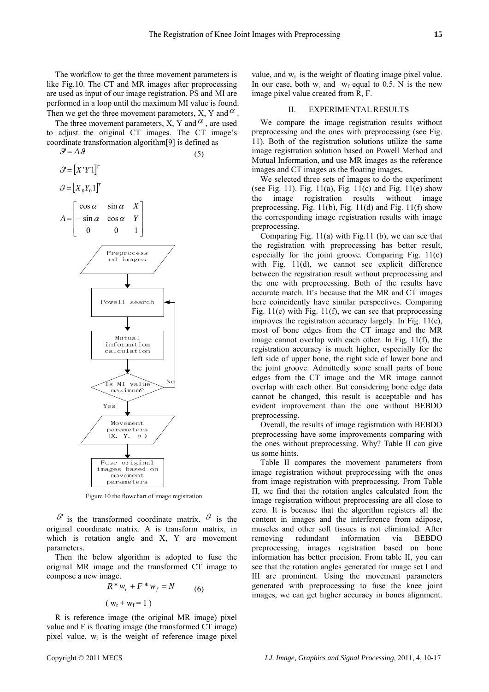The workflow to get the three movement parameters is like Fig.10. The CT and MR images after preprocessing are used as input of our image registration. PS and MI are performed in a loop until the maximum MI value is found. Then we get the three movement parameters, X, Y and  $\alpha$ .

The three movement parameters, X, Y and  $\alpha$ , are used to adjust the original CT images. The CT image's coordinate transformation algorithm[9] is defined as



Figure 10 the flowchart of image registration

 $\mathcal{S}'$  is the transformed coordinate matrix.  $\mathcal{S}'$  is the original coordinate matrix. A is transform matrix, in which is rotation angle and X, Y are movement parameters.

Then the below algorithm is adopted to fuse the original MR image and the transformed CT image to compose a new image.

$$
R^* w_r + F^* w_f = N
$$
  
( $w_r + w_f = 1$ ) (6)

R is reference image (the original MR image) pixel value and F is floating image (the transformed CT image) pixel value.  $w_r$  is the weight of reference image pixel

value, and  $w_f$  is the weight of floating image pixel value. In our case, both  $w_r$  and  $w_f$  equal to 0.5. N is the new image pixel value created from R, F.

# II. EXPERIMENTAL RESULTS

We compare the image registration results without preprocessing and the ones with preprocessing (see Fig. 11). Both of the registration solutions utilize the same image registration solution based on Powell Method and Mutual Information, and use MR images as the reference images and CT images as the floating images.

We selected three sets of images to do the experiment (see Fig. 11). Fig. 11(a), Fig. 11(c) and Fig. 11(e) show the image registration results without image preprocessing. Fig. 11(b), Fig. 11(d) and Fig. 11(f) show the corresponding image registration results with image preprocessing.

Comparing Fig. 11(a) with Fig.11 (b), we can see that the registration with preprocessing has better result, especially for the joint groove. Comparing Fig. 11(c) with Fig. 11(d), we cannot see explicit difference between the registration result without preprocessing and the one with preprocessing. Both of the results have accurate match. It's because that the MR and CT images here coincidently have similar perspectives. Comparing Fig.  $11(e)$  with Fig.  $11(f)$ , we can see that preprocessing improves the registration accuracy largely. In Fig. 11(e), most of bone edges from the CT image and the MR image cannot overlap with each other. In Fig. 11(f), the registration accuracy is much higher, especially for the left side of upper bone, the right side of lower bone and the joint groove. Admittedly some small parts of bone edges from the CT image and the MR image cannot overlap with each other. But considering bone edge data cannot be changed, this result is acceptable and has evident improvement than the one without BEBDO preprocessing.

Overall, the results of image registration with BEBDO preprocessing have some improvements comparing with the ones without preprocessing. Why? Table II can give us some hints.

Table II compares the movement parameters from image registration without preprocessing with the ones from image registration with preprocessing. From Table Π, we find that the rotation angles calculated from the image registration without preprocessing are all close to zero. It is because that the algorithm registers all the content in images and the interference from adipose, muscles and other soft tissues is not eliminated. After removing redundant information via BEBDO preprocessing, images registration based on bone information has better precision. From table II, you can see that the rotation angles generated for image set I and III are prominent. Using the movement parameters generated with preprocessing to fuse the knee joint images, we can get higher accuracy in bones alignment.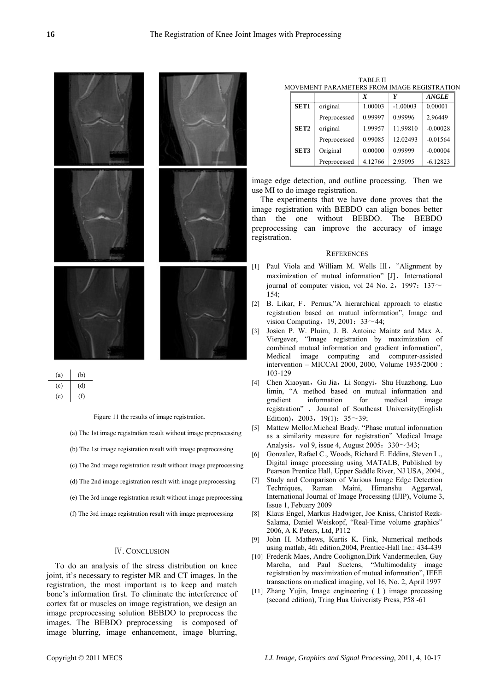



Figure 11 the results of image registration.

(a) The 1st image registration result without image preprocessing

- (b) The 1st image registration result with image preprocessing
- (c) The 2nd image registration result without image preprocessing
- (d) The 2nd image registration result with image preprocessing
- (e) The 3rd image registration result without image preprocessing
- (f) The 3rd image registration result with image preprocessing

### Ⅳ. CONCLUSION

To do an analysis of the stress distribution on knee joint, it's necessary to register MR and CT images. In the registration, the most important is to keep and match bone's information first. To eliminate the interference of cortex fat or muscles on image registration, we design an image preprocessing solution BEBDO to preprocess the images. The BEBDO preprocessing is composed of image blurring, image enhancement, image blurring,

TABLE Π MOVEMENT PARAMETERS FROM IMAGE REGISTRATION

|                  |              | $\boldsymbol{X}$ | Y          | <b>ANGLE</b> |
|------------------|--------------|------------------|------------|--------------|
| <b>SET1</b>      | original     | 1.00003          | $-1.00003$ | 0.00001      |
|                  | Preprocessed | 0.99997          | 0.99996    | 2.96449      |
| SET <sub>2</sub> | original     | 1.99957          | 11.99810   | $-0.00028$   |
|                  | Preprocessed | 0.99085          | 12.02493   | $-0.01564$   |
| SET3             | Original     | 0.00000          | 0.99999    | $-0.00004$   |
|                  | Preprocessed | 4.12766          | 2.95095    | $-6.12823$   |

image edge detection, and outline processing. Then we use MI to do image registration.

The experiments that we have done proves that the image registration with BEBDO can align bones better than the one without BEBDO. The BEBDO preprocessing can improve the accuracy of image registration.

#### **REFERENCES**

- [1] Paul Viola and William M. Wells III, "Alignment by maximization of mutual information" [J]. International journal of computer vision, vol 24 No. 2, 1997:  $137~$  $154$
- [2] B. Likar, F. Pernus,"A hierarchical approach to elastic registration based on mutual information", Image and vision Computing,  $19, 2001: 33~-44;$
- [3] Josien P. W. Pluim, J. B. Antoine Maintz and Max A. Viergever, "Image registration by maximization of combined mutual information and gradient information", Medical image computing and [computer-assisted](http://www.springerlink.com/content/978-3-540-41189-5/)  [intervention – MICCAI 2000](http://www.springerlink.com/content/978-3-540-41189-5/), 2000, Volume 1935/2000 : 103-129
- [4] Chen Xiaoyan, Gu Jia, Li Songyi, Shu Huazhong, Luo limin, "A method based on mutual information and gradient information for medical image registration" . Journal of Southeast University(English Edition), 2003, 19(1):  $35~39$ ;
- [5] Mattew Mellor.Micheal Brady. "Phase mutual information as a similarity measure for registration" Medical Image Analysis, vol 9, issue 4, August 2005:  $330~343$ ;
- [6] Gonzalez, Rafael C., Woods, Richard E. Eddins, Steven L., Digital image processing using MATALB, Published by Pearson Prentice Hall, Upper Saddle River, NJ USA, 2004.,
- [7] Study and Comparison of Various Image Edge Detection Techniques, Raman Maini, Himanshu Aggarwal, International Journal of Image Processing (IJIP), Volume 3, Issue 1, Febuary 2009
- Klaus Engel, Markus Hadwiger, Joe Kniss, Christof Rezk-Salama, Daniel Weiskopf, "Real-Time volume graphics" 2006, A K Peters, Ltd, P112
- [9] John H. Mathews, Kurtis K. Fink, Numerical methods using matlab, 4th edition,2004, Prentice-Hall Inc.: 434-439
- [10] Frederik Maes, Andre Coolignon,Dirk Vandermeulen, Guy Marcha, and Paul Suetens, "Multimodality image registration by maximization of mutual information", IEEE transactions on medical imaging, vol 16, No. 2, April 1997
- [11] Zhang Yujin, Image engineering  $(1)$  image processing (second edition), Tring Hua Univeristy Press, P58 -61